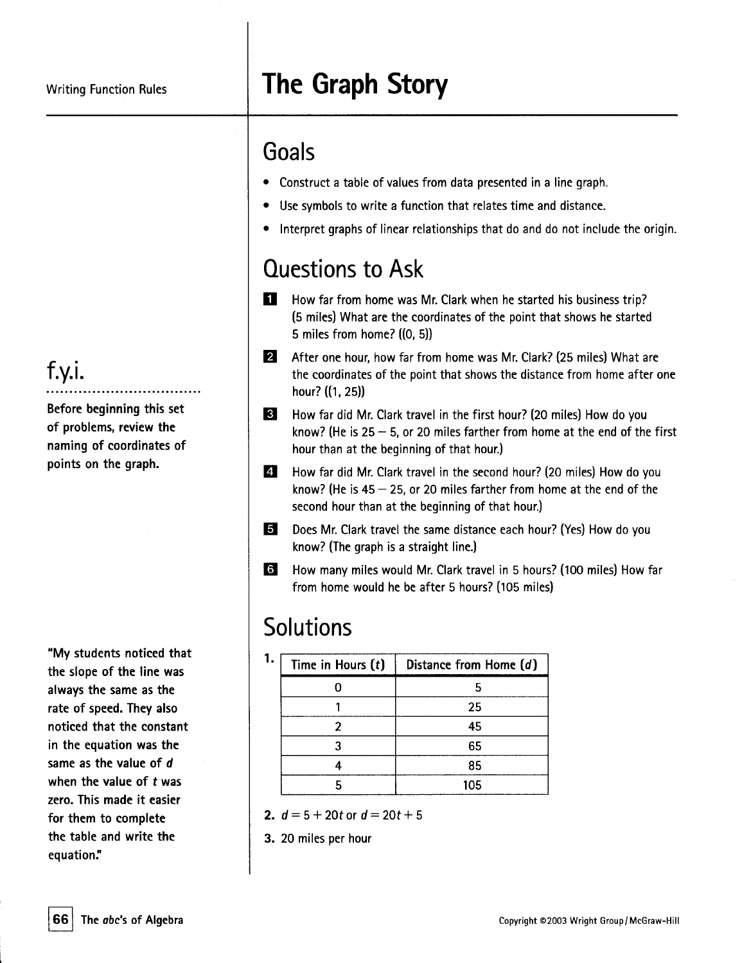# **The Graph Story**

### Goals

- . Construct <sup>a</sup> table of values from data presentedin <sup>a</sup> line graph.
- . Use symbols to write <sup>a</sup> function that relates time and distance.
- . Interpret graphs of linear relationships that do and do not include the origin.

### Questions to Ask

- **D** How far from home was Mr. Clark when he started his business trip? (5 miles) What are the coordinates of the point that shows hestarted 5 miles from home? ((0, 5))
- **2** After one hour, how far from home was Mr. Clark? (25 miles) What are the coordinates of the point that shows the distance from home after one hour? ((1, 25))
- **B** How far did Mr. Clark travel in the first hour? (20 miles) How do you know? (He is  $25 - 5$ , or 20 miles farther from home at the end of the first hour than at the beginning of that hour.)
- How far did Mr. Clark travel in the second hour? (20 miles) How do you know? (He is  $45 - 25$ , or 20 miles farther from home at the end of the second hour than at the beginning of that hour.)  $\blacksquare$
- Does Mr. Clark travel the same distance each hour? (Yes) How do you know? (The graph is a straight line.) g
- How many miles would Mr. Clark travel in 5 hours? (100 miles) How far from home would he be after 5 hours? (105 miles) **b**

## **Solutions**

| Time in Hours $(t)$ | Distance from Home (d) |
|---------------------|------------------------|
|                     |                        |
|                     | 25                     |
|                     | 45                     |
|                     | 65                     |
|                     | 85                     |
|                     | 105                    |

- 2.  $d = 5 + 20t$  or  $d = 20t + 5$
- 3. 20 miles per hour

#### f.y.i. ..................................

Before beginning this set of problems, review the naming of coordinates of points on the graph.

"My students noticed that the slope of the line was always the same as the rate of speed. They also noticed that the constant in the equation was the same as the value of d when the value of twas zero. This made it easier for them to complete the table and write the equation:'